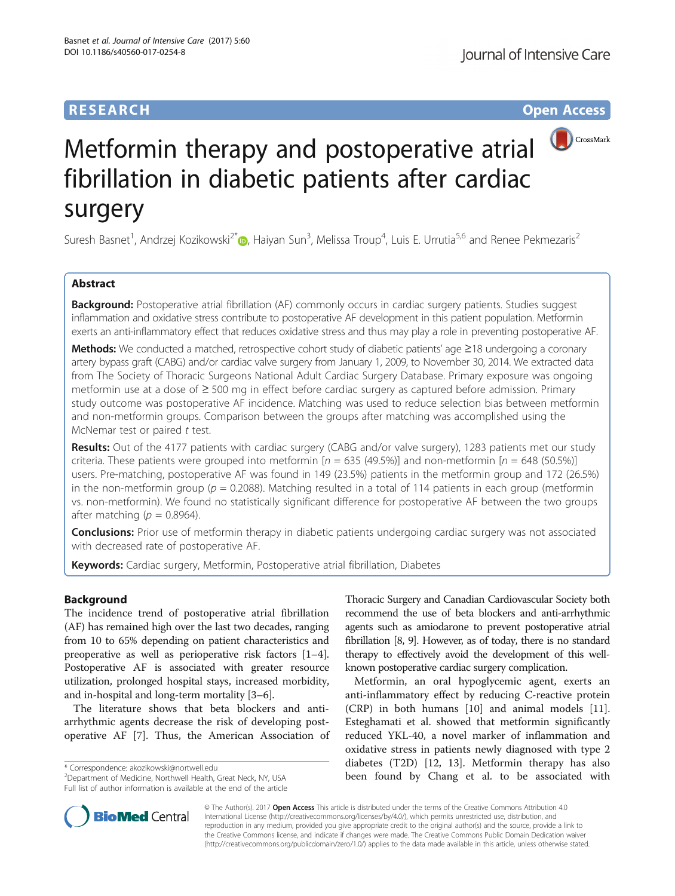## **RESEARCH CHINESE ARCH CHINESE ARCH CHINESE ARCH <b>CHINESE ARCH CHINESE ARCH CHINESE ARCH <b>CHINESE CHINESE**



# Metformin therapy and postoperative atrial fibrillation in diabetic patients after cardiac surgery

Suresh Basnet<sup>1</sup>[,](http://orcid.org/0000-0002-0906-4364) Andrzej Kozikowski<sup>2\*</sup>io, Haiyan Sun<sup>3</sup>, Melissa Troup<sup>4</sup>, Luis E. Urrutia<sup>5,6</sup> and Renee Pekmezaris<sup>2</sup>

## Abstract

Background: Postoperative atrial fibrillation (AF) commonly occurs in cardiac surgery patients. Studies suggest inflammation and oxidative stress contribute to postoperative AF development in this patient population. Metformin exerts an anti-inflammatory effect that reduces oxidative stress and thus may play a role in preventing postoperative AF.

Methods: We conducted a matched, retrospective cohort study of diabetic patients' age ≥18 undergoing a coronary artery bypass graft (CABG) and/or cardiac valve surgery from January 1, 2009, to November 30, 2014. We extracted data from The Society of Thoracic Surgeons National Adult Cardiac Surgery Database. Primary exposure was ongoing metformin use at a dose of ≥ 500 mg in effect before cardiac surgery as captured before admission. Primary study outcome was postoperative AF incidence. Matching was used to reduce selection bias between metformin and non-metformin groups. Comparison between the groups after matching was accomplished using the McNemar test or paired t test.

Results: Out of the 4177 patients with cardiac surgery (CABG and/or valve surgery), 1283 patients met our study criteria. These patients were grouped into metformin  $[n = 635 (49.5%)]$  and non-metformin  $[n = 648 (50.5%)]$ users. Pre-matching, postoperative AF was found in 149 (23.5%) patients in the metformin group and 172 (26.5%) in the non-metformin group ( $p = 0.2088$ ). Matching resulted in a total of 114 patients in each group (metformin vs. non-metformin). We found no statistically significant difference for postoperative AF between the two groups after matching ( $p = 0.8964$ ).

**Conclusions:** Prior use of metformin therapy in diabetic patients undergoing cardiac surgery was not associated with decreased rate of postoperative AF.

Keywords: Cardiac surgery, Metformin, Postoperative atrial fibrillation, Diabetes

## Background

The incidence trend of postoperative atrial fibrillation (AF) has remained high over the last two decades, ranging from 10 to 65% depending on patient characteristics and preoperative as well as perioperative risk factors [[1](#page-7-0)–[4](#page-7-0)]. Postoperative AF is associated with greater resource utilization, prolonged hospital stays, increased morbidity, and in-hospital and long-term mortality [[3](#page-7-0)–[6](#page-7-0)].

The literature shows that beta blockers and antiarrhythmic agents decrease the risk of developing postoperative AF [[7\]](#page-7-0). Thus, the American Association of

<sup>2</sup>Department of Medicine, Northwell Health, Great Neck, NY, USA Full list of author information is available at the end of the article

Thoracic Surgery and Canadian Cardiovascular Society both recommend the use of beta blockers and anti-arrhythmic agents such as amiodarone to prevent postoperative atrial fibrillation [\[8](#page-7-0), [9\]](#page-7-0). However, as of today, there is no standard therapy to effectively avoid the development of this wellknown postoperative cardiac surgery complication.

Metformin, an oral hypoglycemic agent, exerts an anti-inflammatory effect by reducing C-reactive protein (CRP) in both humans [[10](#page-7-0)] and animal models [\[11](#page-7-0)]. Esteghamati et al. showed that metformin significantly reduced YKL-40, a novel marker of inflammation and oxidative stress in patients newly diagnosed with type 2 diabetes (T2D) [[12](#page-7-0), [13](#page-7-0)]. Metformin therapy has also \* Correspondence: [akozikowski@nortwell.edu](mailto:akozikowski@nortwell.edu)<br>
<sup>2</sup> Department of Medicine, Northwell Health, Great Neck, NY, USA **been found by Chang et al. to be associated with** 



© The Author(s). 2017 **Open Access** This article is distributed under the terms of the Creative Commons Attribution 4.0 International License [\(http://creativecommons.org/licenses/by/4.0/](http://creativecommons.org/licenses/by/4.0/)), which permits unrestricted use, distribution, and reproduction in any medium, provided you give appropriate credit to the original author(s) and the source, provide a link to the Creative Commons license, and indicate if changes were made. The Creative Commons Public Domain Dedication waiver [\(http://creativecommons.org/publicdomain/zero/1.0/](http://creativecommons.org/publicdomain/zero/1.0/)) applies to the data made available in this article, unless otherwise stated.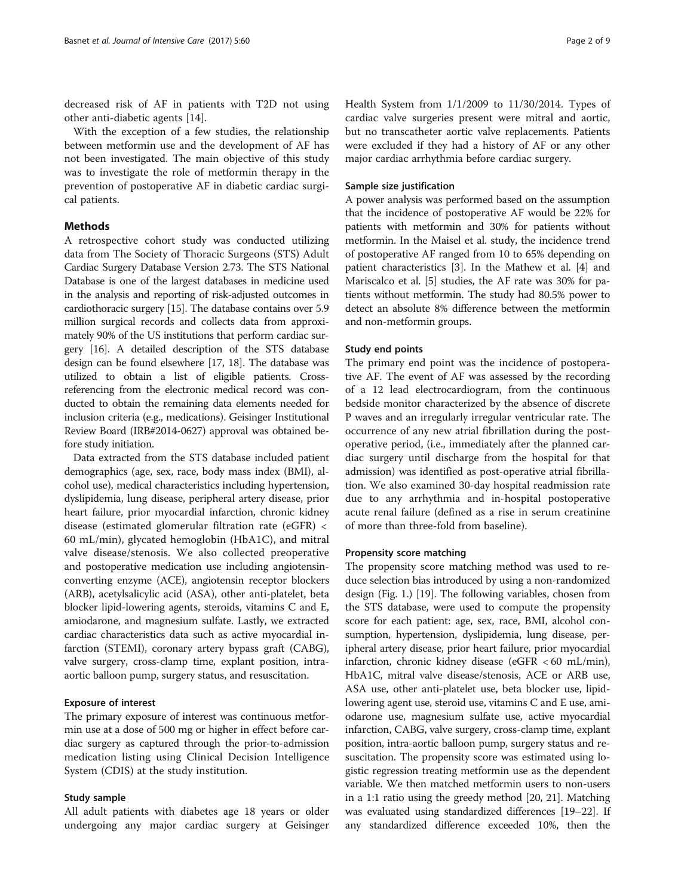decreased risk of AF in patients with T2D not using other anti-diabetic agents [\[14](#page-7-0)].

With the exception of a few studies, the relationship between metformin use and the development of AF has not been investigated. The main objective of this study was to investigate the role of metformin therapy in the prevention of postoperative AF in diabetic cardiac surgical patients.

## Methods

A retrospective cohort study was conducted utilizing data from The Society of Thoracic Surgeons (STS) Adult Cardiac Surgery Database Version 2.73. The STS National Database is one of the largest databases in medicine used in the analysis and reporting of risk-adjusted outcomes in cardiothoracic surgery [[15](#page-7-0)]. The database contains over 5.9 million surgical records and collects data from approximately 90% of the US institutions that perform cardiac surgery [\[16\]](#page-7-0). A detailed description of the STS database design can be found elsewhere [[17](#page-7-0), [18\]](#page-7-0). The database was utilized to obtain a list of eligible patients. Crossreferencing from the electronic medical record was conducted to obtain the remaining data elements needed for inclusion criteria (e.g., medications). Geisinger Institutional Review Board (IRB#2014-0627) approval was obtained before study initiation.

Data extracted from the STS database included patient demographics (age, sex, race, body mass index (BMI), alcohol use), medical characteristics including hypertension, dyslipidemia, lung disease, peripheral artery disease, prior heart failure, prior myocardial infarction, chronic kidney disease (estimated glomerular filtration rate (eGFR) < 60 mL/min), glycated hemoglobin (HbA1C), and mitral valve disease/stenosis. We also collected preoperative and postoperative medication use including angiotensinconverting enzyme (ACE), angiotensin receptor blockers (ARB), acetylsalicylic acid (ASA), other anti-platelet, beta blocker lipid-lowering agents, steroids, vitamins C and E, amiodarone, and magnesium sulfate. Lastly, we extracted cardiac characteristics data such as active myocardial infarction (STEMI), coronary artery bypass graft (CABG), valve surgery, cross-clamp time, explant position, intraaortic balloon pump, surgery status, and resuscitation.

## Exposure of interest

The primary exposure of interest was continuous metformin use at a dose of 500 mg or higher in effect before cardiac surgery as captured through the prior-to-admission medication listing using Clinical Decision Intelligence System (CDIS) at the study institution.

#### Study sample

All adult patients with diabetes age 18 years or older undergoing any major cardiac surgery at Geisinger Health System from 1/1/2009 to 11/30/2014. Types of cardiac valve surgeries present were mitral and aortic, but no transcatheter aortic valve replacements. Patients were excluded if they had a history of AF or any other major cardiac arrhythmia before cardiac surgery.

#### Sample size justification

A power analysis was performed based on the assumption that the incidence of postoperative AF would be 22% for patients with metformin and 30% for patients without metformin. In the Maisel et al. study, the incidence trend of postoperative AF ranged from 10 to 65% depending on patient characteristics [\[3](#page-7-0)]. In the Mathew et al. [\[4](#page-7-0)] and Mariscalco et al. [[5\]](#page-7-0) studies, the AF rate was 30% for patients without metformin. The study had 80.5% power to detect an absolute 8% difference between the metformin and non-metformin groups.

#### Study end points

The primary end point was the incidence of postoperative AF. The event of AF was assessed by the recording of a 12 lead electrocardiogram, from the continuous bedside monitor characterized by the absence of discrete P waves and an irregularly irregular ventricular rate. The occurrence of any new atrial fibrillation during the postoperative period, (i.e., immediately after the planned cardiac surgery until discharge from the hospital for that admission) was identified as post-operative atrial fibrillation. We also examined 30-day hospital readmission rate due to any arrhythmia and in-hospital postoperative acute renal failure (defined as a rise in serum creatinine of more than three-fold from baseline).

#### Propensity score matching

The propensity score matching method was used to reduce selection bias introduced by using a non-randomized design (Fig. [1.](#page-2-0)) [\[19\]](#page-7-0). The following variables, chosen from the STS database, were used to compute the propensity score for each patient: age, sex, race, BMI, alcohol consumption, hypertension, dyslipidemia, lung disease, peripheral artery disease, prior heart failure, prior myocardial infarction, chronic kidney disease (eGFR < 60 mL/min), HbA1C, mitral valve disease/stenosis, ACE or ARB use, ASA use, other anti-platelet use, beta blocker use, lipidlowering agent use, steroid use, vitamins C and E use, amiodarone use, magnesium sulfate use, active myocardial infarction, CABG, valve surgery, cross-clamp time, explant position, intra-aortic balloon pump, surgery status and resuscitation. The propensity score was estimated using logistic regression treating metformin use as the dependent variable. We then matched metformin users to non-users in a 1:1 ratio using the greedy method [\[20, 21\]](#page-7-0). Matching was evaluated using standardized differences [[19](#page-7-0)–[22\]](#page-7-0). If any standardized difference exceeded 10%, then the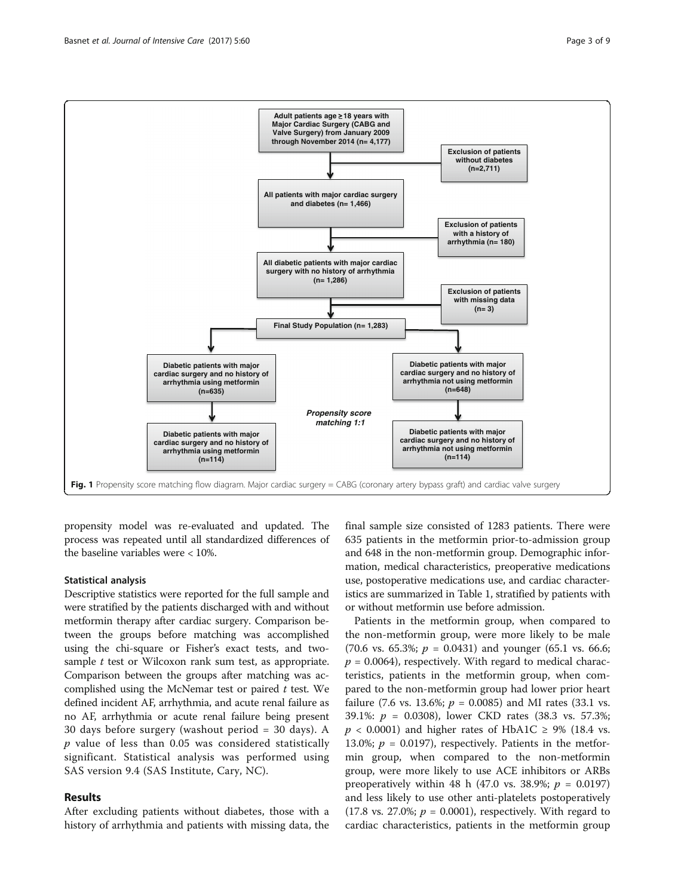<span id="page-2-0"></span>

propensity model was re-evaluated and updated. The process was repeated until all standardized differences of the baseline variables were < 10%.

## Statistical analysis

Descriptive statistics were reported for the full sample and were stratified by the patients discharged with and without metformin therapy after cardiac surgery. Comparison between the groups before matching was accomplished using the chi-square or Fisher's exact tests, and twosample  $t$  test or Wilcoxon rank sum test, as appropriate. Comparison between the groups after matching was accomplished using the McNemar test or paired  $t$  test. We defined incident AF, arrhythmia, and acute renal failure as no AF, arrhythmia or acute renal failure being present 30 days before surgery (washout period = 30 days). A  $p$  value of less than 0.05 was considered statistically significant. Statistical analysis was performed using SAS version 9.4 (SAS Institute, Cary, NC).

## Results

After excluding patients without diabetes, those with a history of arrhythmia and patients with missing data, the

final sample size consisted of 1283 patients. There were 635 patients in the metformin prior-to-admission group and 648 in the non-metformin group. Demographic information, medical characteristics, preoperative medications use, postoperative medications use, and cardiac characteristics are summarized in Table [1,](#page-3-0) stratified by patients with or without metformin use before admission.

Patients in the metformin group, when compared to the non-metformin group, were more likely to be male (70.6 vs. 65.3%;  $p = 0.0431$ ) and younger (65.1 vs. 66.6;  $p = 0.0064$ , respectively. With regard to medical characteristics, patients in the metformin group, when compared to the non-metformin group had lower prior heart failure (7.6 vs. 13.6%;  $p = 0.0085$ ) and MI rates (33.1 vs. 39.1%: p = 0.0308), lower CKD rates (38.3 vs. 57.3%;  $p < 0.0001$ ) and higher rates of HbA1C  $\geq$  9% (18.4 vs. 13.0%;  $p = 0.0197$ ), respectively. Patients in the metformin group, when compared to the non-metformin group, were more likely to use ACE inhibitors or ARBs preoperatively within 48 h (47.0 vs. 38.9%;  $p = 0.0197$ ) and less likely to use other anti-platelets postoperatively  $(17.8 \text{ vs. } 27.0\%; p = 0.0001)$ , respectively. With regard to cardiac characteristics, patients in the metformin group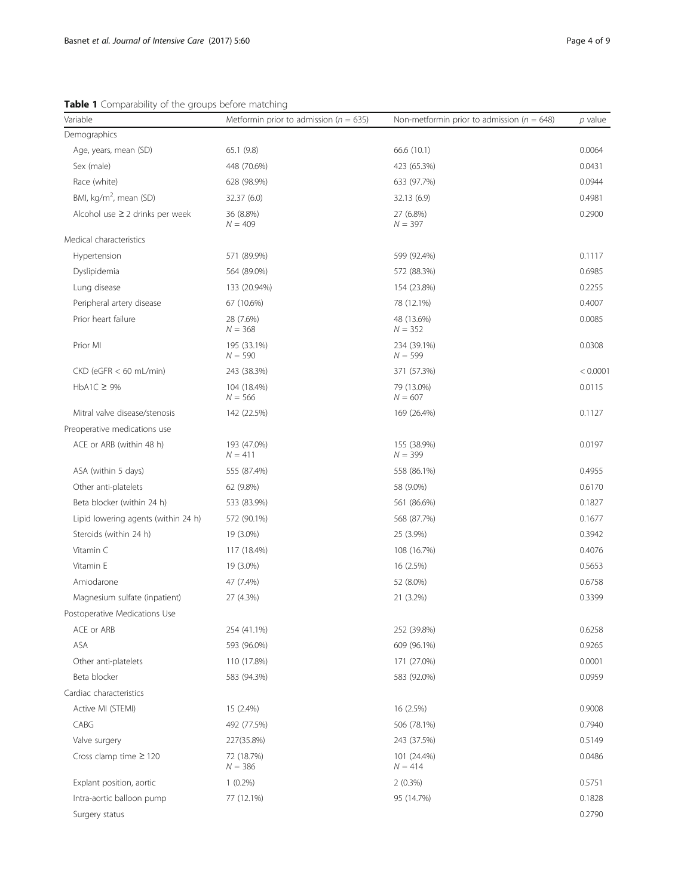<span id="page-3-0"></span>Table 1 Comparability of the groups before matching

| Variable                             | Metformin prior to admission ( $n = 635$ ) | Non-metformin prior to admission ( $n = 648$ ) | $p$ value |
|--------------------------------------|--------------------------------------------|------------------------------------------------|-----------|
| Demographics                         |                                            |                                                |           |
| Age, years, mean (SD)                | 65.1 (9.8)                                 | 66.6 (10.1)                                    | 0.0064    |
| Sex (male)                           | 448 (70.6%)                                | 423 (65.3%)                                    | 0.0431    |
| Race (white)                         | 628 (98.9%)                                | 633 (97.7%)                                    | 0.0944    |
| BMI, $kg/m^2$ , mean (SD)            | 32.37 (6.0)                                | 32.13 (6.9)                                    | 0.4981    |
| Alcohol use $\geq$ 2 drinks per week | 36 (8.8%)<br>$N = 409$                     | 27 (6.8%)<br>$N = 397$                         | 0.2900    |
| Medical characteristics              |                                            |                                                |           |
| Hypertension                         | 571 (89.9%)                                | 599 (92.4%)                                    | 0.1117    |
| Dyslipidemia                         | 564 (89.0%)                                | 572 (88.3%)                                    | 0.6985    |
| Lung disease                         | 133 (20.94%)                               | 154 (23.8%)                                    | 0.2255    |
| Peripheral artery disease            | 67 (10.6%)                                 | 78 (12.1%)                                     | 0.4007    |
| Prior heart failure                  | 28 (7.6%)<br>$N = 368$                     | 48 (13.6%)<br>$N = 352$                        | 0.0085    |
| Prior MI                             | 195 (33.1%)<br>$N = 590$                   | 234 (39.1%)<br>$N = 599$                       | 0.0308    |
| $CKD$ (eGFR $<$ 60 mL/min)           | 243 (38.3%)                                | 371 (57.3%)                                    | < 0.0001  |
| $HbA1C \geq 9%$                      | 104 (18.4%)<br>$N = 566$                   | 79 (13.0%)<br>$N = 607$                        | 0.0115    |
| Mitral valve disease/stenosis        | 142 (22.5%)                                | 169 (26.4%)                                    | 0.1127    |
| Preoperative medications use         |                                            |                                                |           |
| ACE or ARB (within 48 h)             | 193 (47.0%)<br>$N = 411$                   | 155 (38.9%)<br>$N = 399$                       | 0.0197    |
| ASA (within 5 days)                  | 555 (87.4%)                                | 558 (86.1%)                                    | 0.4955    |
| Other anti-platelets                 | 62 (9.8%)                                  | 58 (9.0%)                                      | 0.6170    |
| Beta blocker (within 24 h)           | 533 (83.9%)                                | 561 (86.6%)                                    | 0.1827    |
| Lipid lowering agents (within 24 h)  | 572 (90.1%)                                | 568 (87.7%)                                    | 0.1677    |
| Steroids (within 24 h)               | 19 (3.0%)                                  | 25 (3.9%)                                      | 0.3942    |
| Vitamin C                            | 117 (18.4%)                                | 108 (16.7%)                                    | 0.4076    |
| Vitamin E                            | 19 (3.0%)                                  | 16 (2.5%)                                      | 0.5653    |
| Amiodarone                           | 47 (7.4%)                                  | 52 (8.0%)                                      | 0.6758    |
| Magnesium sulfate (inpatient)        | 27 (4.3%)                                  | 21 (3.2%)                                      | 0.3399    |
| Postoperative Medications Use        |                                            |                                                |           |
| ACE or ARB                           | 254 (41.1%)                                | 252 (39.8%)                                    | 0.6258    |
| ASA                                  | 593 (96.0%)                                | 609 (96.1%)                                    | 0.9265    |
| Other anti-platelets                 | 110 (17.8%)                                | 171 (27.0%)                                    | 0.0001    |
| Beta blocker                         | 583 (94.3%)                                | 583 (92.0%)                                    | 0.0959    |
| Cardiac characteristics              |                                            |                                                |           |
| Active MI (STEMI)                    | 15 (2.4%)                                  | 16 (2.5%)                                      | 0.9008    |
| CABG                                 | 492 (77.5%)                                | 506 (78.1%)                                    | 0.7940    |
| Valve surgery                        | 227(35.8%)                                 | 243 (37.5%)                                    | 0.5149    |
| Cross clamp time $\geq$ 120          | 72 (18.7%)<br>$N = 386$                    | 101 (24.4%)<br>$N = 414$                       | 0.0486    |
| Explant position, aortic             | $1(0.2\%)$                                 | 2(0.3%)                                        | 0.5751    |
| Intra-aortic balloon pump            | 77 (12.1%)                                 | 95 (14.7%)                                     | 0.1828    |
| Surgery status                       |                                            |                                                | 0.2790    |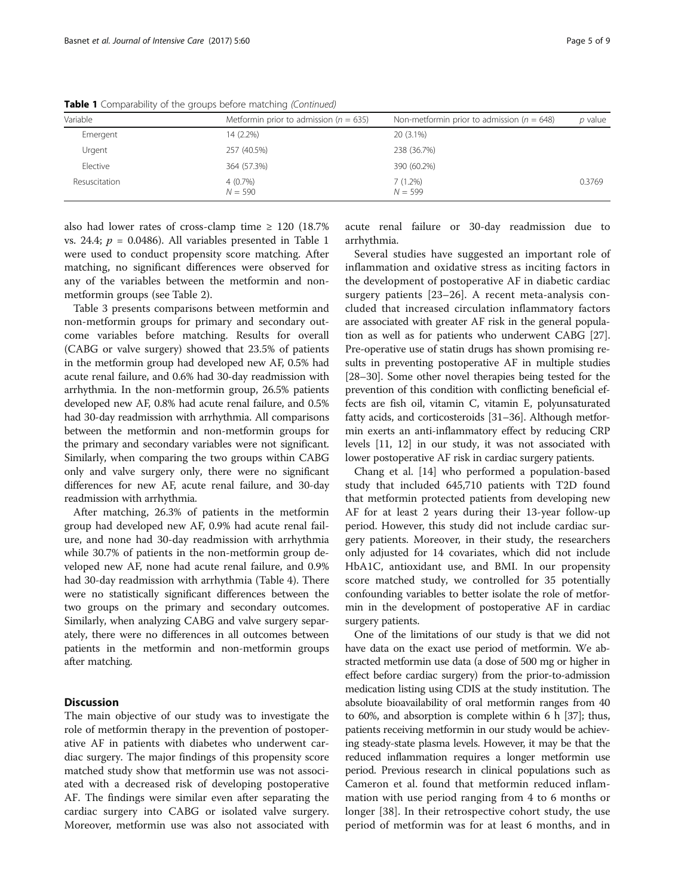| Variable      | Metformin prior to admission ( $n = 635$ ) | Non-metformin prior to admission ( $n = 648$ ) | <i>p</i> value |
|---------------|--------------------------------------------|------------------------------------------------|----------------|
| Emergent      | 14 (2.2%)                                  | 20 (3.1%)                                      |                |
| Urgent        | 257 (40.5%)                                | 238 (36.7%)                                    |                |
| Elective      | 364 (57.3%)                                | 390 (60.2%)                                    |                |
| Resuscitation | $4(0.7\%)$<br>$N = 590$                    | 7(1.2%)<br>$N = 599$                           | 0.3769         |

Table 1 Comparability of the groups before matching (Continued)

also had lower rates of cross-clamp time  $\geq$  120 (18.7%) vs. 24.4;  $p = 0.0486$ . All variables presented in Table [1](#page-3-0) were used to conduct propensity score matching. After matching, no significant differences were observed for any of the variables between the metformin and nonmetformin groups (see Table [2](#page-5-0)).

Table [3](#page-6-0) presents comparisons between metformin and non-metformin groups for primary and secondary outcome variables before matching. Results for overall (CABG or valve surgery) showed that 23.5% of patients in the metformin group had developed new AF, 0.5% had acute renal failure, and 0.6% had 30-day readmission with arrhythmia. In the non-metformin group, 26.5% patients developed new AF, 0.8% had acute renal failure, and 0.5% had 30-day readmission with arrhythmia. All comparisons between the metformin and non-metformin groups for the primary and secondary variables were not significant. Similarly, when comparing the two groups within CABG only and valve surgery only, there were no significant differences for new AF, acute renal failure, and 30-day readmission with arrhythmia.

After matching, 26.3% of patients in the metformin group had developed new AF, 0.9% had acute renal failure, and none had 30-day readmission with arrhythmia while 30.7% of patients in the non-metformin group developed new AF, none had acute renal failure, and 0.9% had 30-day readmission with arrhythmia (Table [4\)](#page-6-0). There were no statistically significant differences between the two groups on the primary and secondary outcomes. Similarly, when analyzing CABG and valve surgery separately, there were no differences in all outcomes between patients in the metformin and non-metformin groups after matching.

## **Discussion**

The main objective of our study was to investigate the role of metformin therapy in the prevention of postoperative AF in patients with diabetes who underwent cardiac surgery. The major findings of this propensity score matched study show that metformin use was not associated with a decreased risk of developing postoperative AF. The findings were similar even after separating the cardiac surgery into CABG or isolated valve surgery. Moreover, metformin use was also not associated with

acute renal failure or 30-day readmission due to arrhythmia.

Several studies have suggested an important role of inflammation and oxidative stress as inciting factors in the development of postoperative AF in diabetic cardiac surgery patients [[23](#page-7-0)–[26\]](#page-7-0). A recent meta-analysis concluded that increased circulation inflammatory factors are associated with greater AF risk in the general population as well as for patients who underwent CABG [[27](#page-7-0)]. Pre-operative use of statin drugs has shown promising results in preventing postoperative AF in multiple studies [[28](#page-7-0)–[30\]](#page-8-0). Some other novel therapies being tested for the prevention of this condition with conflicting beneficial effects are fish oil, vitamin C, vitamin E, polyunsaturated fatty acids, and corticosteroids [\[31](#page-8-0)–[36](#page-8-0)]. Although metformin exerts an anti-inflammatory effect by reducing CRP levels [\[11, 12](#page-7-0)] in our study, it was not associated with lower postoperative AF risk in cardiac surgery patients.

Chang et al. [[14](#page-7-0)] who performed a population-based study that included 645,710 patients with T2D found that metformin protected patients from developing new AF for at least 2 years during their 13-year follow-up period. However, this study did not include cardiac surgery patients. Moreover, in their study, the researchers only adjusted for 14 covariates, which did not include HbA1C, antioxidant use, and BMI. In our propensity score matched study, we controlled for 35 potentially confounding variables to better isolate the role of metformin in the development of postoperative AF in cardiac surgery patients.

One of the limitations of our study is that we did not have data on the exact use period of metformin. We abstracted metformin use data (a dose of 500 mg or higher in effect before cardiac surgery) from the prior-to-admission medication listing using CDIS at the study institution. The absolute bioavailability of oral metformin ranges from 40 to 60%, and absorption is complete within 6 h [\[37\]](#page-8-0); thus, patients receiving metformin in our study would be achieving steady-state plasma levels. However, it may be that the reduced inflammation requires a longer metformin use period. Previous research in clinical populations such as Cameron et al. found that metformin reduced inflammation with use period ranging from 4 to 6 months or longer [[38\]](#page-8-0). In their retrospective cohort study, the use period of metformin was for at least 6 months, and in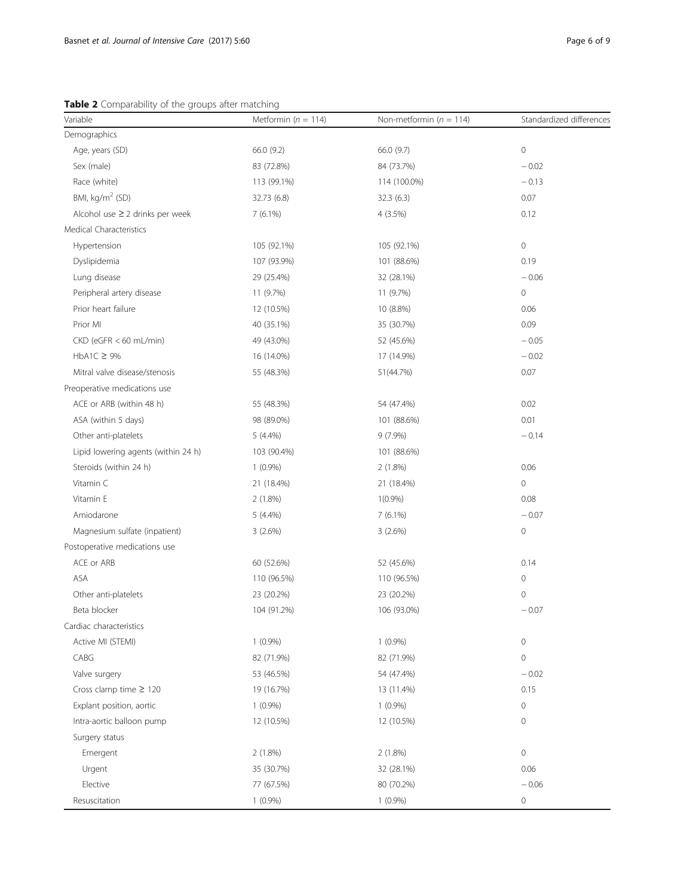<span id="page-5-0"></span>Table 2 Comparability of the groups after matching

| Variable                             | Metformin ( $n = 114$ ) | Non-metformin ( $n = 114$ ) | Standardized differences |
|--------------------------------------|-------------------------|-----------------------------|--------------------------|
| Demographics                         |                         |                             |                          |
| Age, years (SD)                      | 66.0 (9.2)              | 66.0 (9.7)                  | $\mathbf 0$              |
| Sex (male)                           | 83 (72.8%)              | 84 (73.7%)                  | $-0.02$                  |
| Race (white)                         | 113 (99.1%)             | 114 (100.0%)                | $-0.13$                  |
| BMI, kg/m <sup>2</sup> (SD)          | 32.73 (6.8)             | 32.3(6.3)                   | 0.07                     |
| Alcohol use $\geq 2$ drinks per week | $7(6.1\%)$              | 4 (3.5%)                    | 0.12                     |
| Medical Characteristics              |                         |                             |                          |
| Hypertension                         | 105 (92.1%)             | 105 (92.1%)                 | $\circ$                  |
| Dyslipidemia                         | 107 (93.9%)             | 101 (88.6%)                 | 0.19                     |
| Lung disease                         | 29 (25.4%)              | 32 (28.1%)                  | $-0.06$                  |
| Peripheral artery disease            | 11 (9.7%)               | 11 (9.7%)                   | $\mathbf 0$              |
| Prior heart failure                  | 12 (10.5%)              | 10 (8.8%)                   | 0.06                     |
| Prior MI                             | 40 (35.1%)              | 35 (30.7%)                  | 0.09                     |
| CKD (eGFR < 60 mL/min)               | 49 (43.0%)              | 52 (45.6%)                  | $-0.05$                  |
| $HbA1C \geq 9\%$                     | 16 (14.0%)              | 17 (14.9%)                  | $-0.02$                  |
| Mitral valve disease/stenosis        | 55 (48.3%)              | 51(44.7%)                   | 0.07                     |
| Preoperative medications use         |                         |                             |                          |
| ACE or ARB (within 48 h)             | 55 (48.3%)              | 54 (47.4%)                  | 0.02                     |
| ASA (within 5 days)                  | 98 (89.0%)              | 101 (88.6%)                 | 0.01                     |
| Other anti-platelets                 | $5(4.4\%)$              | $9(7.9\%)$                  | $-0.14$                  |
| Lipid lowering agents (within 24 h)  | 103 (90.4%)             | 101 (88.6%)                 |                          |
| Steroids (within 24 h)               | $1(0.9\%)$              | 2(1.8%)                     | 0.06                     |
| Vitamin C                            | 21 (18.4%)              | 21 (18.4%)                  | $\mathbf 0$              |
| Vitamin E                            | $2(1.8\%)$              | $1(0.9\%)$                  | 0.08                     |
| Amiodarone                           | $5(4.4\%)$              | $7(6.1\%)$                  | $-0.07$                  |
| Magnesium sulfate (inpatient)        | 3(2.6%)                 | 3(2.6%)                     | $\mathbf 0$              |
| Postoperative medications use        |                         |                             |                          |
| ACE or ARB                           | 60 (52.6%)              | 52 (45.6%)                  | 0.14                     |
| <b>ASA</b>                           | 110 (96.5%)             | 110 (96.5%)                 | $\mathbf 0$              |
| Other anti-platelets                 | 23 (20.2%)              | 23 (20.2%)                  | $\mathbf 0$              |
| Beta blocker                         | 104 (91.2%)             | 106 (93.0%)                 | $-0.07$                  |
| Cardiac characteristics              |                         |                             |                          |
| Active MI (STEMI)                    | $1(0.9\%)$              | $1(0.9\%)$                  | $\mathbf 0$              |
| CABG                                 | 82 (71.9%)              | 82 (71.9%)                  | $\mathbf 0$              |
| Valve surgery                        | 53 (46.5%)              | 54 (47.4%)                  | $-0.02$                  |
| Cross clamp time $\geq 120$          | 19 (16.7%)              | 13 (11.4%)                  | 0.15                     |
| Explant position, aortic             | $1(0.9\%)$              | $1(0.9\%)$                  | $\mathbb O$              |
| Intra-aortic balloon pump            | 12 (10.5%)              | 12 (10.5%)                  | $\mathbf 0$              |
| Surgery status                       |                         |                             |                          |
| Emergent                             | 2(1.8%)                 | $2(1.8\%)$                  | $\mathbb O$              |
| Urgent                               | 35 (30.7%)              | 32 (28.1%)                  | 0.06                     |
| Elective                             | 77 (67.5%)              | 80 (70.2%)                  | $-0.06$                  |
| Resuscitation                        | $1(0.9\%)$              | $1(0.9\%)$                  | $\circ$                  |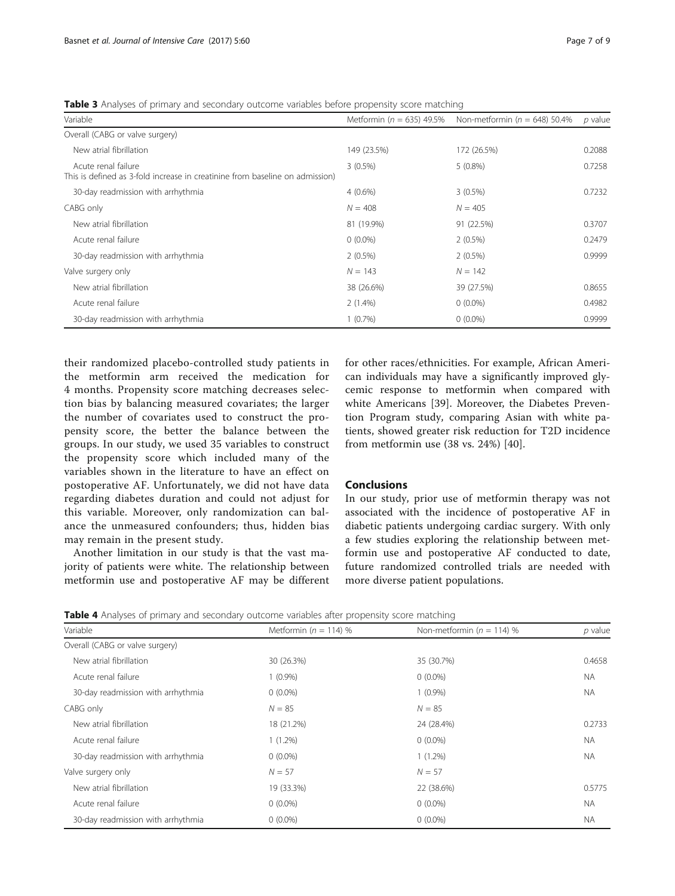<span id="page-6-0"></span>Table 3 Analyses of primary and secondary outcome variables before propensity score matching

| Variable                                                                                            | Metformin ( $n = 635$ ) 49.5% | Non-metformin ( $n = 648$ ) 50.4% | p value |
|-----------------------------------------------------------------------------------------------------|-------------------------------|-----------------------------------|---------|
| Overall (CABG or valve surgery)                                                                     |                               |                                   |         |
| New atrial fibrillation                                                                             | 149 (23.5%)                   | 172 (26.5%)                       | 0.2088  |
| Acute renal failure<br>This is defined as 3-fold increase in creatinine from baseline on admission) | $3(0.5\%)$                    | $5(0.8\%)$                        | 0.7258  |
| 30-day readmission with arrhythmia                                                                  | $4(0.6\%)$                    | $3(0.5\%)$                        | 0.7232  |
| CABG only                                                                                           | $N = 408$                     | $N = 405$                         |         |
| New atrial fibrillation                                                                             | 81 (19.9%)                    | 91 (22.5%)                        | 0.3707  |
| Acute renal failure                                                                                 | $0(0.0\%)$                    | $2(0.5\%)$                        | 0.2479  |
| 30-day readmission with arrhythmia                                                                  | $2(0.5\%)$                    | $2(0.5\%)$                        | 0.9999  |
| Valve surgery only                                                                                  | $N = 143$                     | $N = 142$                         |         |
| New atrial fibrillation                                                                             | 38 (26.6%)                    | 39 (27.5%)                        | 0.8655  |
| Acute renal failure                                                                                 | 2(1.4%)                       | $0(0.0\%)$                        | 0.4982  |
| 30-day readmission with arrhythmia                                                                  | $1(0.7\%)$                    | $0(0.0\%)$                        | 0.9999  |

their randomized placebo-controlled study patients in the metformin arm received the medication for 4 months. Propensity score matching decreases selection bias by balancing measured covariates; the larger the number of covariates used to construct the propensity score, the better the balance between the groups. In our study, we used 35 variables to construct the propensity score which included many of the variables shown in the literature to have an effect on postoperative AF. Unfortunately, we did not have data regarding diabetes duration and could not adjust for this variable. Moreover, only randomization can balance the unmeasured confounders; thus, hidden bias may remain in the present study.

Another limitation in our study is that the vast majority of patients were white. The relationship between metformin use and postoperative AF may be different for other races/ethnicities. For example, African American individuals may have a significantly improved glycemic response to metformin when compared with white Americans [\[39\]](#page-8-0). Moreover, the Diabetes Prevention Program study, comparing Asian with white patients, showed greater risk reduction for T2D incidence from metformin use (38 vs. 24%) [[40](#page-8-0)].

## Conclusions

In our study, prior use of metformin therapy was not associated with the incidence of postoperative AF in diabetic patients undergoing cardiac surgery. With only a few studies exploring the relationship between metformin use and postoperative AF conducted to date, future randomized controlled trials are needed with more diverse patient populations.

**Table 4** Analyses of primary and secondary outcome variables after propensity score matching

| Variable                           | Metformin ( $n = 114$ ) % | Non-metformin ( $n = 114$ ) % | $p$ value |
|------------------------------------|---------------------------|-------------------------------|-----------|
| Overall (CABG or valve surgery)    |                           |                               |           |
| New atrial fibrillation            | 30 (26.3%)                | 35 (30.7%)                    | 0.4658    |
| Acute renal failure                | $1(0.9\%)$                | $0(0.0\%)$                    | <b>NA</b> |
| 30-day readmission with arrhythmia | $0(0.0\%)$                | $1(0.9\%)$                    | <b>NA</b> |
| CABG only                          | $N = 85$                  | $N = 85$                      |           |
| New atrial fibrillation            | 18 (21.2%)                | 24 (28.4%)                    | 0.2733    |
| Acute renal failure                | $1(1.2\%)$                | $0(0.0\%)$                    | <b>NA</b> |
| 30-day readmission with arrhythmia | $0(0.0\%)$                | $1(1.2\%)$                    | <b>NA</b> |
| Valve surgery only                 | $N = 57$                  | $N = 57$                      |           |
| New atrial fibrillation            | 19 (33.3%)                | 22 (38.6%)                    | 0.5775    |
| Acute renal failure                | $0(0.0\%)$                | $0(0.0\%)$                    | <b>NA</b> |
| 30-day readmission with arrhythmia | $0(0.0\%)$                | $0(0.0\%)$                    | <b>NA</b> |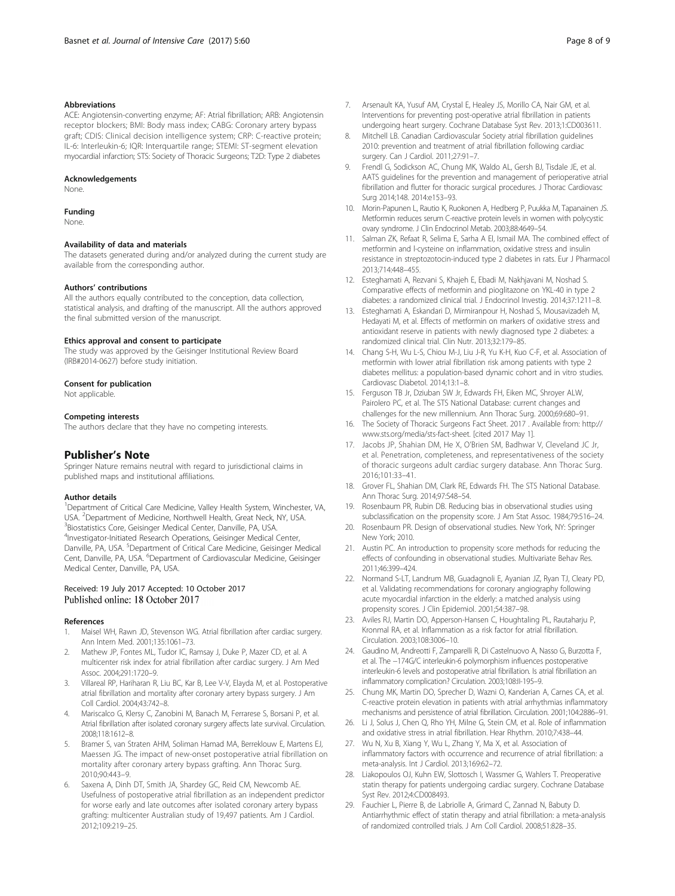#### <span id="page-7-0"></span>Abbreviations

ACE: Angiotensin-converting enzyme; AF: Atrial fibrillation; ARB: Angiotensin receptor blockers; BMI: Body mass index; CABG: Coronary artery bypass graft; CDIS: Clinical decision intelligence system; CRP: C-reactive protein; IL-6: Interleukin-6; IQR: Interquartile range; STEMI: ST-segment elevation myocardial infarction; STS: Society of Thoracic Surgeons; T2D: Type 2 diabetes

#### Acknowledgements

None.

#### Funding

None.

#### Availability of data and materials

The datasets generated during and/or analyzed during the current study are available from the corresponding author.

#### Authors' contributions

All the authors equally contributed to the conception, data collection, statistical analysis, and drafting of the manuscript. All the authors approved the final submitted version of the manuscript.

#### Ethics approval and consent to participate

The study was approved by the Geisinger Institutional Review Board (IRB#2014-0627) before study initiation.

#### Consent for publication

Not applicable.

#### Competing interests

The authors declare that they have no competing interests.

## Publisher's Note

Springer Nature remains neutral with regard to jurisdictional claims in published maps and institutional affiliations.

#### Author details

<sup>1</sup>Department of Critical Care Medicine, Valley Health System, Winchester, VA, USA. <sup>2</sup> Department of Medicine, Northwell Health, Great Neck, NY, USA.<br><sup>3</sup> Biostatistics Corp. Goisinger, Medical Conter, Danville, PA, USA. <sup>3</sup>Biostatistics Core, Geisinger Medical Center, Danville, PA, USA. 4 Investigator-Initiated Research Operations, Geisinger Medical Center, Danville, PA, USA. <sup>5</sup>Department of Critical Care Medicine, Geisinger Medical Cent, Danville, PA, USA. <sup>6</sup>Department of Cardiovascular Medicine, Geisinger Medical Center, Danville, PA, USA.

#### Received: 19 July 2017 Accepted: 10 October 2017 Published online: 18 October 2017

#### References

- Maisel WH, Rawn JD, Stevenson WG. Atrial fibrillation after cardiac surgery. Ann Intern Med. 2001;135:1061–73.
- 2. Mathew JP, Fontes ML, Tudor IC, Ramsay J, Duke P, Mazer CD, et al. A multicenter risk index for atrial fibrillation after cardiac surgery. J Am Med Assoc. 2004;291:1720–9.
- 3. Villareal RP, Hariharan R, Liu BC, Kar B, Lee V-V, Elayda M, et al. Postoperative atrial fibrillation and mortality after coronary artery bypass surgery. J Am Coll Cardiol. 2004;43:742–8.
- Mariscalco G, Klersy C, Zanobini M, Banach M, Ferrarese S, Borsani P, et al. Atrial fibrillation after isolated coronary surgery affects late survival. Circulation. 2008;118:1612–8.
- 5. Bramer S, van Straten AHM, Soliman Hamad MA, Berreklouw E, Martens EJ, Maessen JG. The impact of new-onset postoperative atrial fibrillation on mortality after coronary artery bypass grafting. Ann Thorac Surg. 2010;90:443–9.
- Saxena A, Dinh DT, Smith JA, Shardey GC, Reid CM, Newcomb AE. Usefulness of postoperative atrial fibrillation as an independent predictor for worse early and late outcomes after isolated coronary artery bypass grafting: multicenter Australian study of 19,497 patients. Am J Cardiol. 2012;109:219–25.
- 8. Mitchell LB. Canadian Cardiovascular Society atrial fibrillation guidelines 2010: prevention and treatment of atrial fibrillation following cardiac surgery. Can J Cardiol. 2011;27:91–7.
- Frendl G, Sodickson AC, Chung MK, Waldo AL, Gersh BJ, Tisdale JE, et al. AATS guidelines for the prevention and management of perioperative atrial fibrillation and flutter for thoracic surgical procedures. J Thorac Cardiovasc Surg 2014;148. 2014:e153–93.
- 10. Morin-Papunen L, Rautio K, Ruokonen A, Hedberg P, Puukka M, Tapanainen JS. Metformin reduces serum C-reactive protein levels in women with polycystic ovary syndrome. J Clin Endocrinol Metab. 2003;88:4649–54.
- 11. Salman ZK, Refaat R, Selima E, Sarha A El, Ismail MA. The combined effect of metformin and l-cysteine on inflammation, oxidative stress and insulin resistance in streptozotocin-induced type 2 diabetes in rats. Eur J Pharmacol 2013;714:448–455.
- 12. Esteghamati A, Rezvani S, Khajeh E, Ebadi M, Nakhjavani M, Noshad S. Comparative effects of metformin and pioglitazone on YKL-40 in type 2 diabetes: a randomized clinical trial. J Endocrinol Investig. 2014;37:1211–8.
- 13. Esteghamati A, Eskandari D, Mirmiranpour H, Noshad S, Mousavizadeh M, Hedayati M, et al. Effects of metformin on markers of oxidative stress and antioxidant reserve in patients with newly diagnosed type 2 diabetes: a randomized clinical trial. Clin Nutr. 2013;32:179–85.
- 14. Chang S-H, Wu L-S, Chiou M-J, Liu J-R, Yu K-H, Kuo C-F, et al. Association of metformin with lower atrial fibrillation risk among patients with type 2 diabetes mellitus: a population-based dynamic cohort and in vitro studies. Cardiovasc Diabetol. 2014;13:1–8.
- 15. Ferguson TB Jr, Dziuban SW Jr, Edwards FH, Eiken MC, Shroyer ALW, Pairolero PC, et al. The STS National Database: current changes and challenges for the new millennium. Ann Thorac Surg. 2000;69:680–91.
- 16. The Society of Thoracic Surgeons Fact Sheet. 2017 . Available from: [http://](http://www.sts.org/media/sts-fact-sheet) [www.sts.org/media/sts-fact-sheet](http://www.sts.org/media/sts-fact-sheet). [cited 2017 May 1].
- 17. Jacobs JP, Shahian DM, He X, O'Brien SM, Badhwar V, Cleveland JC Jr, et al. Penetration, completeness, and representativeness of the society of thoracic surgeons adult cardiac surgery database. Ann Thorac Surg. 2016;101:33–41.
- 18. Grover FL, Shahian DM, Clark RE, Edwards FH. The STS National Database. Ann Thorac Surg. 2014;97:S48–54.
- 19. Rosenbaum PR, Rubin DB. Reducing bias in observational studies using subclassification on the propensity score. J Am Stat Assoc. 1984;79:516–24.
- 20. Rosenbaum PR. Design of observational studies. New York, NY: Springer New York; 2010.
- 21. Austin PC. An introduction to propensity score methods for reducing the effects of confounding in observational studies. Multivariate Behav Res. 2011;46:399–424.
- 22. Normand S-LT, Landrum MB, Guadagnoli E, Ayanian JZ, Ryan TJ, Cleary PD, et al. Validating recommendations for coronary angiography following acute myocardial infarction in the elderly: a matched analysis using propensity scores. J Clin Epidemiol. 2001;54:387–98.
- 23. Aviles RJ, Martin DO, Apperson-Hansen C, Houghtaling PL, Rautaharju P, Kronmal RA, et al. Inflammation as a risk factor for atrial fibrillation. Circulation. 2003;108:3006–10.
- 24. Gaudino M, Andreotti F, Zamparelli R, Di Castelnuovo A, Nasso G, Burzotta F, et al. The −174G/C interleukin-6 polymorphism influences postoperative interleukin-6 levels and postoperative atrial fibrillation. Is atrial fibrillation an inflammatory complication? Circulation. 2003;108:II-195–9.
- 25. Chung MK, Martin DO, Sprecher D, Wazni O, Kanderian A, Carnes CA, et al. C-reactive protein elevation in patients with atrial arrhythmias inflammatory mechanisms and persistence of atrial fibrillation. Circulation. 2001;104:2886–91.
- Li J, Solus J, Chen Q, Rho YH, Milne G, Stein CM, et al. Role of inflammation and oxidative stress in atrial fibrillation. Hear Rhythm. 2010;7:438–44.
- 27. Wu N, Xu B, Xiang Y, Wu L, Zhang Y, Ma X, et al. Association of inflammatory factors with occurrence and recurrence of atrial fibrillation: a meta-analysis. Int J Cardiol. 2013;169:62–72.
- 28. Liakopoulos OJ, Kuhn EW, Slottosch I, Wassmer G, Wahlers T. Preoperative statin therapy for patients undergoing cardiac surgery. Cochrane Database Syst Rev. 2012;4:CD008493.
- 29. Fauchier L, Pierre B, de Labriolle A, Grimard C, Zannad N, Babuty D. Antiarrhythmic effect of statin therapy and atrial fibrillation: a meta-analysis of randomized controlled trials. J Am Coll Cardiol. 2008;51:828–35.